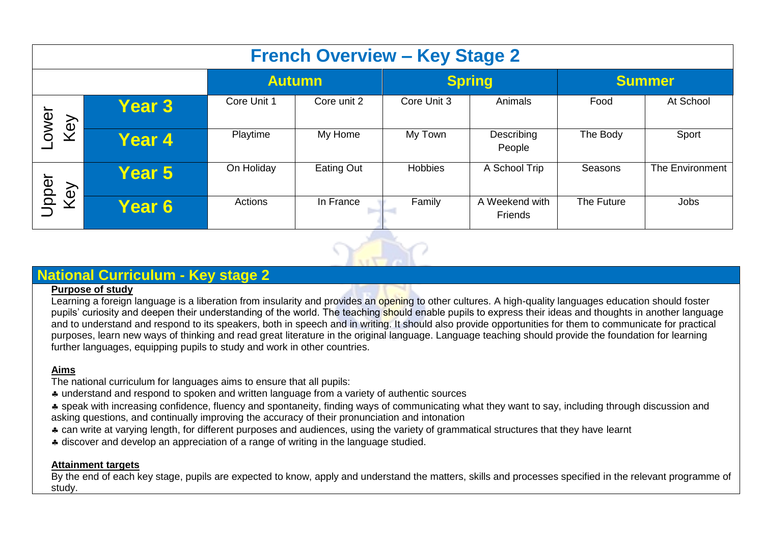| <b>French Overview - Key Stage 2</b> |               |               |                   |                |                           |               |                 |  |
|--------------------------------------|---------------|---------------|-------------------|----------------|---------------------------|---------------|-----------------|--|
|                                      |               | <b>Autumn</b> |                   | <b>Spring</b>  |                           | <b>Summer</b> |                 |  |
| ower                                 | <b>Year 3</b> | Core Unit 1   | Core unit 2       | Core Unit 3    | Animals                   | Food          | At School       |  |
| Key                                  | Year 4        | Playtime      | My Home           | My Town        | Describing<br>People      | The Body      | Sport           |  |
| Jpper<br>Key                         | <b>Year 5</b> | On Holiday    | <b>Eating Out</b> | <b>Hobbies</b> | A School Trip             | Seasons       | The Environment |  |
|                                      | Year 6        | Actions       | In France         | Family         | A Weekend with<br>Friends | The Future    | Jobs            |  |



## **National Curriculum - Key stage 2**

## **Purpose of study**

Learning a foreign language is a liberation from insularity and provides an opening to other cultures. A high-quality languages education should foster pupils' curiosity and deepen their understanding of the world. The teaching should enable pupils to express their ideas and thoughts in another language and to understand and respond to its speakers, both in speech and in writing. It should also provide opportunities for them to communicate for practical purposes, learn new ways of thinking and read great literature in the original language. Language teaching should provide the foundation for learning further languages, equipping pupils to study and work in other countries.

## **Aims**

The national curriculum for languages aims to ensure that all pupils:

understand and respond to spoken and written language from a variety of authentic sources

\* speak with increasing confidence, fluency and spontaneity, finding ways of communicating what they want to say, including through discussion and asking questions, and continually improving the accuracy of their pronunciation and intonation

- \* can write at varying length, for different purposes and audiences, using the variety of grammatical structures that they have learnt
- discover and develop an appreciation of a range of writing in the language studied.

## **Attainment targets**

By the end of each key stage, pupils are expected to know, apply and understand the matters, skills and processes specified in the relevant programme of study.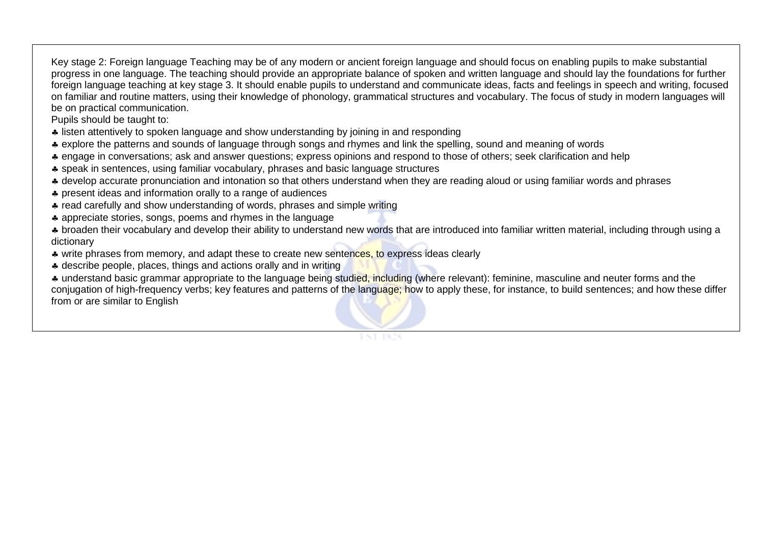Key stage 2: Foreign language Teaching may be of any modern or ancient foreign language and should focus on enabling pupils to make substantial progress in one language. The teaching should provide an appropriate balance of spoken and written language and should lay the foundations for further foreign language teaching at key stage 3. It should enable pupils to understand and communicate ideas, facts and feelings in speech and writing, focused on familiar and routine matters, using their knowledge of phonology, grammatical structures and vocabulary. The focus of study in modern languages will be on practical communication.

Pupils should be taught to:

- listen attentively to spoken language and show understanding by joining in and responding
- explore the patterns and sounds of language through songs and rhymes and link the spelling, sound and meaning of words
- engage in conversations; ask and answer questions; express opinions and respond to those of others; seek clarification and help
- speak in sentences, using familiar vocabulary, phrases and basic language structures
- develop accurate pronunciation and intonation so that others understand when they are reading aloud or using familiar words and phrases
- \* present ideas and information orally to a range of audiences
- \* read carefully and show understanding of words, phrases and simple writing
- appreciate stories, songs, poems and rhymes in the language
- \* broaden their vocabulary and develop their ability to understand new words that are introduced into familiar written material, including through using a dictionary
- \* write phrases from memory, and adapt these to create new sentences, to express ideas clearly
- \* describe people, places, things and actions orally and in writing
- \* understand basic grammar appropriate to the language being studied, including (where relevant): feminine, masculine and neuter forms and the conjugation of high-frequency verbs; key features and patterns of the language; how to apply these, for instance, to build sentences; and how these differ from or are similar to English

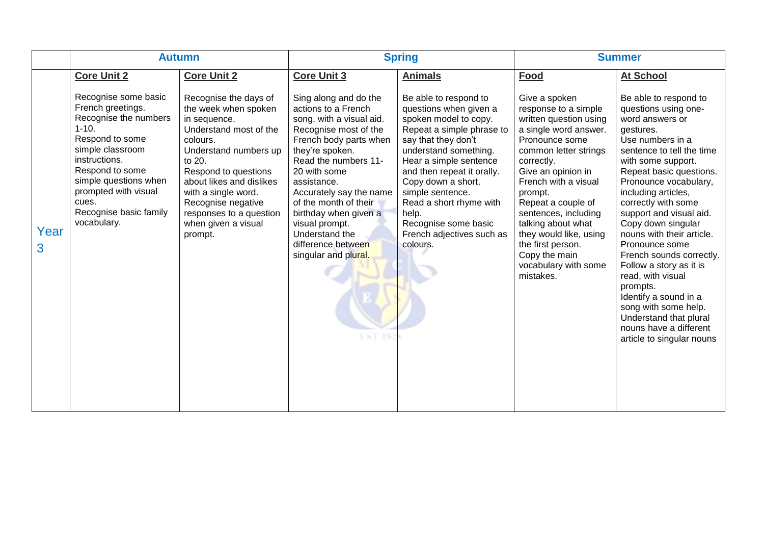|           | <b>Autumn</b>                                                                                                                                                                                                                                                 |                                                                                                                                                                                                                                                                                                      | <b>Spring</b>                                                                                                                                                                                                                                                                                                                                                                       |                                                                                                                                                                                                                                                                                                                                                              | <b>Summer</b>                                                                                                                                                                                                                                                                                                                                                                       |                                                                                                                                                                                                                                                                                                                                                                                                                                                                                                                                                                                  |
|-----------|---------------------------------------------------------------------------------------------------------------------------------------------------------------------------------------------------------------------------------------------------------------|------------------------------------------------------------------------------------------------------------------------------------------------------------------------------------------------------------------------------------------------------------------------------------------------------|-------------------------------------------------------------------------------------------------------------------------------------------------------------------------------------------------------------------------------------------------------------------------------------------------------------------------------------------------------------------------------------|--------------------------------------------------------------------------------------------------------------------------------------------------------------------------------------------------------------------------------------------------------------------------------------------------------------------------------------------------------------|-------------------------------------------------------------------------------------------------------------------------------------------------------------------------------------------------------------------------------------------------------------------------------------------------------------------------------------------------------------------------------------|----------------------------------------------------------------------------------------------------------------------------------------------------------------------------------------------------------------------------------------------------------------------------------------------------------------------------------------------------------------------------------------------------------------------------------------------------------------------------------------------------------------------------------------------------------------------------------|
|           | <b>Core Unit 2</b>                                                                                                                                                                                                                                            | <b>Core Unit 2</b>                                                                                                                                                                                                                                                                                   | <b>Core Unit 3</b>                                                                                                                                                                                                                                                                                                                                                                  | <b>Animals</b>                                                                                                                                                                                                                                                                                                                                               | Food                                                                                                                                                                                                                                                                                                                                                                                | <b>At School</b>                                                                                                                                                                                                                                                                                                                                                                                                                                                                                                                                                                 |
| Year<br>3 | Recognise some basic<br>French greetings.<br>Recognise the numbers<br>$1 - 10.$<br>Respond to some<br>simple classroom<br>instructions.<br>Respond to some<br>simple questions when<br>prompted with visual<br>cues.<br>Recognise basic family<br>vocabulary. | Recognise the days of<br>the week when spoken<br>in sequence.<br>Understand most of the<br>colours.<br>Understand numbers up<br>to 20.<br>Respond to questions<br>about likes and dislikes<br>with a single word.<br>Recognise negative<br>responses to a question<br>when given a visual<br>prompt. | Sing along and do the<br>actions to a French<br>song, with a visual aid.<br>Recognise most of the<br>French body parts when<br>they're spoken.<br>Read the numbers 11-<br>20 with some<br>assistance.<br>Accurately say the name<br>of the month of their<br>birthday when given a<br>visual prompt.<br>Understand the<br>difference between<br>singular and plural.<br>FS T<br>-18 | Be able to respond to<br>questions when given a<br>spoken model to copy.<br>Repeat a simple phrase to<br>say that they don't<br>understand something.<br>Hear a simple sentence<br>and then repeat it orally.<br>Copy down a short,<br>simple sentence.<br>Read a short rhyme with<br>help.<br>Recognise some basic<br>French adjectives such as<br>colours. | Give a spoken<br>response to a simple<br>written question using<br>a single word answer.<br>Pronounce some<br>common letter strings<br>correctly.<br>Give an opinion in<br>French with a visual<br>prompt.<br>Repeat a couple of<br>sentences, including<br>talking about what<br>they would like, using<br>the first person.<br>Copy the main<br>vocabulary with some<br>mistakes. | Be able to respond to<br>questions using one-<br>word answers or<br>gestures.<br>Use numbers in a<br>sentence to tell the time<br>with some support.<br>Repeat basic questions.<br>Pronounce vocabulary,<br>including articles,<br>correctly with some<br>support and visual aid.<br>Copy down singular<br>nouns with their article.<br>Pronounce some<br>French sounds correctly.<br>Follow a story as it is<br>read, with visual<br>prompts.<br>Identify a sound in a<br>song with some help.<br>Understand that plural<br>nouns have a different<br>article to singular nouns |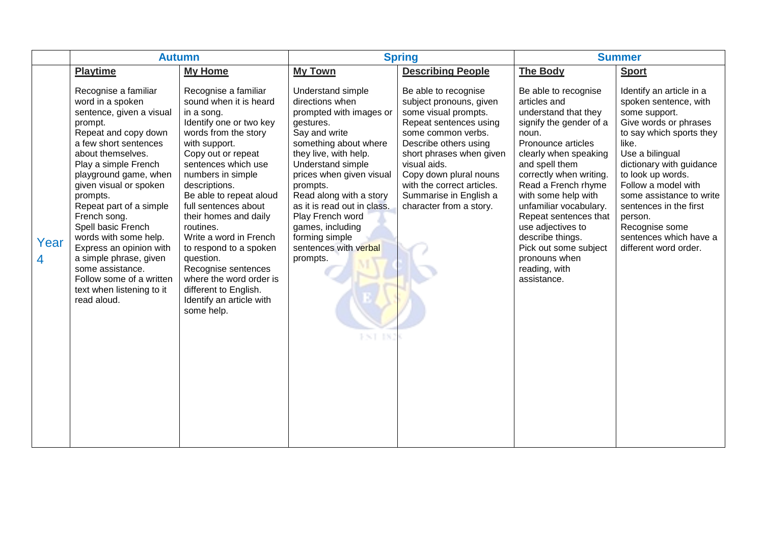|           | <b>Autumn</b>                                                                                                                                                                                                                                                                                                                                                                                                                                                                           |                                                                                                                                                                                                                                                                                                                                                                                                                                                                                                    | <b>Spring</b>                                                                                                                                                                                                                                                                                                                                                                       |                                                                                                                                                                                                                                                                                                           | <b>Summer</b>                                                                                                                                                                                                                                                                                                                                                                                                    |                                                                                                                                                                                                                                                                                                                                                                   |
|-----------|-----------------------------------------------------------------------------------------------------------------------------------------------------------------------------------------------------------------------------------------------------------------------------------------------------------------------------------------------------------------------------------------------------------------------------------------------------------------------------------------|----------------------------------------------------------------------------------------------------------------------------------------------------------------------------------------------------------------------------------------------------------------------------------------------------------------------------------------------------------------------------------------------------------------------------------------------------------------------------------------------------|-------------------------------------------------------------------------------------------------------------------------------------------------------------------------------------------------------------------------------------------------------------------------------------------------------------------------------------------------------------------------------------|-----------------------------------------------------------------------------------------------------------------------------------------------------------------------------------------------------------------------------------------------------------------------------------------------------------|------------------------------------------------------------------------------------------------------------------------------------------------------------------------------------------------------------------------------------------------------------------------------------------------------------------------------------------------------------------------------------------------------------------|-------------------------------------------------------------------------------------------------------------------------------------------------------------------------------------------------------------------------------------------------------------------------------------------------------------------------------------------------------------------|
|           | <b>Playtime</b>                                                                                                                                                                                                                                                                                                                                                                                                                                                                         | <b>My Home</b>                                                                                                                                                                                                                                                                                                                                                                                                                                                                                     | <b>My Town</b>                                                                                                                                                                                                                                                                                                                                                                      | <b>Describing People</b>                                                                                                                                                                                                                                                                                  | <b>The Body</b>                                                                                                                                                                                                                                                                                                                                                                                                  | <b>Sport</b>                                                                                                                                                                                                                                                                                                                                                      |
| Year<br>4 | Recognise a familiar<br>word in a spoken<br>sentence, given a visual<br>prompt.<br>Repeat and copy down<br>a few short sentences<br>about themselves.<br>Play a simple French<br>playground game, when<br>given visual or spoken<br>prompts.<br>Repeat part of a simple<br>French song.<br>Spell basic French<br>words with some help.<br>Express an opinion with<br>a simple phrase, given<br>some assistance.<br>Follow some of a written<br>text when listening to it<br>read aloud. | Recognise a familiar<br>sound when it is heard<br>in a song.<br>Identify one or two key<br>words from the story<br>with support.<br>Copy out or repeat<br>sentences which use<br>numbers in simple<br>descriptions.<br>Be able to repeat aloud<br>full sentences about<br>their homes and daily<br>routines.<br>Write a word in French<br>to respond to a spoken<br>question.<br>Recognise sentences<br>where the word order is<br>different to English.<br>Identify an article with<br>some help. | Understand simple<br>directions when<br>prompted with images or<br>gestures.<br>Say and write<br>something about where<br>they live, with help.<br>Understand simple<br>prices when given visual<br>prompts.<br>Read along with a story<br>as it is read out in class.<br>Play French word<br>games, including<br>forming simple<br>sentences with verbal<br>prompts.<br>-53<br>-18 | Be able to recognise<br>subject pronouns, given<br>some visual prompts.<br>Repeat sentences using<br>some common verbs.<br>Describe others using<br>short phrases when given<br>visual aids.<br>Copy down plural nouns<br>with the correct articles.<br>Summarise in English a<br>character from a story. | Be able to recognise<br>articles and<br>understand that they<br>signify the gender of a<br>noun.<br>Pronounce articles<br>clearly when speaking<br>and spell them<br>correctly when writing.<br>Read a French rhyme<br>with some help with<br>unfamiliar vocabulary.<br>Repeat sentences that<br>use adjectives to<br>describe things.<br>Pick out some subject<br>pronouns when<br>reading, with<br>assistance. | Identify an article in a<br>spoken sentence, with<br>some support.<br>Give words or phrases<br>to say which sports they<br>like.<br>Use a bilingual<br>dictionary with guidance<br>to look up words.<br>Follow a model with<br>some assistance to write<br>sentences in the first<br>person.<br>Recognise some<br>sentences which have a<br>different word order. |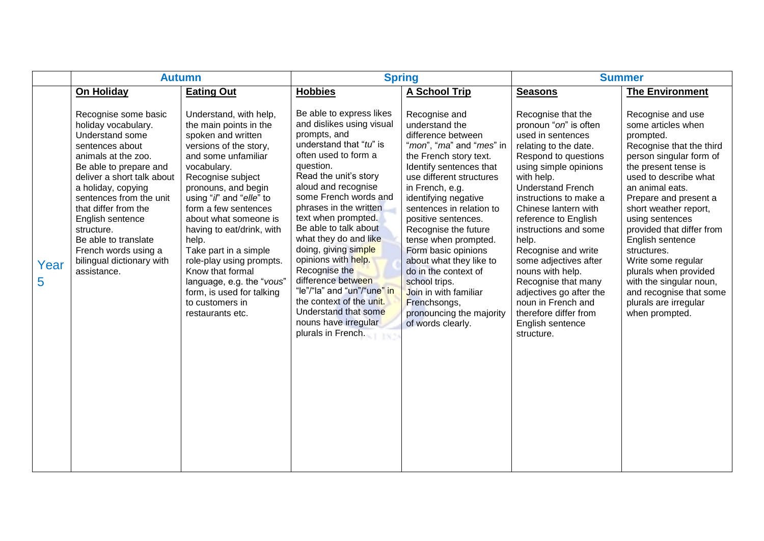|           | <b>Autumn</b>                                                                                                                                                                                                                                                                                                                                                           |                                                                                                                                                                                                                                                                                                                                                                                                                                                                                 | <b>Spring</b>                                                                                                                                                                                                                                                                                                                                                                                                                                                                                                                                          |                                                                                                                                                                                                                                                                                                                                                                                                                                                                                                                                  | <b>Summer</b>                                                                                                                                                                                                                                                                                                                                                                                                                                                                                           |                                                                                                                                                                                                                                                                                                                                                                                                                                                                      |
|-----------|-------------------------------------------------------------------------------------------------------------------------------------------------------------------------------------------------------------------------------------------------------------------------------------------------------------------------------------------------------------------------|---------------------------------------------------------------------------------------------------------------------------------------------------------------------------------------------------------------------------------------------------------------------------------------------------------------------------------------------------------------------------------------------------------------------------------------------------------------------------------|--------------------------------------------------------------------------------------------------------------------------------------------------------------------------------------------------------------------------------------------------------------------------------------------------------------------------------------------------------------------------------------------------------------------------------------------------------------------------------------------------------------------------------------------------------|----------------------------------------------------------------------------------------------------------------------------------------------------------------------------------------------------------------------------------------------------------------------------------------------------------------------------------------------------------------------------------------------------------------------------------------------------------------------------------------------------------------------------------|---------------------------------------------------------------------------------------------------------------------------------------------------------------------------------------------------------------------------------------------------------------------------------------------------------------------------------------------------------------------------------------------------------------------------------------------------------------------------------------------------------|----------------------------------------------------------------------------------------------------------------------------------------------------------------------------------------------------------------------------------------------------------------------------------------------------------------------------------------------------------------------------------------------------------------------------------------------------------------------|
|           | On Holiday                                                                                                                                                                                                                                                                                                                                                              | <b>Eating Out</b>                                                                                                                                                                                                                                                                                                                                                                                                                                                               | <b>Hobbies</b>                                                                                                                                                                                                                                                                                                                                                                                                                                                                                                                                         | <b>A School Trip</b>                                                                                                                                                                                                                                                                                                                                                                                                                                                                                                             | <b>Seasons</b>                                                                                                                                                                                                                                                                                                                                                                                                                                                                                          | <b>The Environment</b>                                                                                                                                                                                                                                                                                                                                                                                                                                               |
| Year<br>5 | Recognise some basic<br>holiday vocabulary.<br>Understand some<br>sentences about<br>animals at the zoo.<br>Be able to prepare and<br>deliver a short talk about<br>a holiday, copying<br>sentences from the unit<br>that differ from the<br>English sentence<br>structure.<br>Be able to translate<br>French words using a<br>bilingual dictionary with<br>assistance. | Understand, with help,<br>the main points in the<br>spoken and written<br>versions of the story,<br>and some unfamiliar<br>vocabulary.<br>Recognise subject<br>pronouns, and begin<br>using "il" and "elle" to<br>form a few sentences<br>about what someone is<br>having to eat/drink, with<br>help.<br>Take part in a simple<br>role-play using prompts.<br>Know that formal<br>language, e.g. the "vous"<br>form, is used for talking<br>to customers in<br>restaurants etc. | Be able to express likes<br>and dislikes using visual<br>prompts, and<br>understand that "tu" is<br>often used to form a<br>question.<br>Read the unit's story<br>aloud and recognise<br>some French words and<br>phrases in the written<br>text when prompted.<br>Be able to talk about<br>what they do and like<br>doing, giving simple<br>opinions with help.<br>Recognise the<br>difference between<br>"le"/"la" and "un"/"une <mark>" in</mark><br>the context of the unit.<br>Understand that some<br>nouns have irregular<br>plurals in French. | Recognise and<br>understand the<br>difference between<br>" <i>mon</i> ", " <i>ma</i> " and " <i>mes</i> " in<br>the French story text.<br>Identify sentences that<br>use different structures<br>in French, e.g.<br>identifying negative<br>sentences in relation to<br>positive sentences.<br>Recognise the future<br>tense when prompted.<br>Form basic opinions<br>about what they like to<br>do in the context of<br>school trips.<br>Join in with familiar<br>Frenchsongs,<br>pronouncing the majority<br>of words clearly. | Recognise that the<br>pronoun "on" is often<br>used in sentences<br>relating to the date.<br>Respond to questions<br>using simple opinions<br>with help.<br><b>Understand French</b><br>instructions to make a<br>Chinese lantern with<br>reference to English<br>instructions and some<br>help.<br>Recognise and write<br>some adjectives after<br>nouns with help.<br>Recognise that many<br>adjectives go after the<br>noun in French and<br>therefore differ from<br>English sentence<br>structure. | Recognise and use<br>some articles when<br>prompted.<br>Recognise that the third<br>person singular form of<br>the present tense is<br>used to describe what<br>an animal eats.<br>Prepare and present a<br>short weather report,<br>using sentences<br>provided that differ from<br>English sentence<br>structures.<br>Write some regular<br>plurals when provided<br>with the singular noun,<br>and recognise that some<br>plurals are irregular<br>when prompted. |